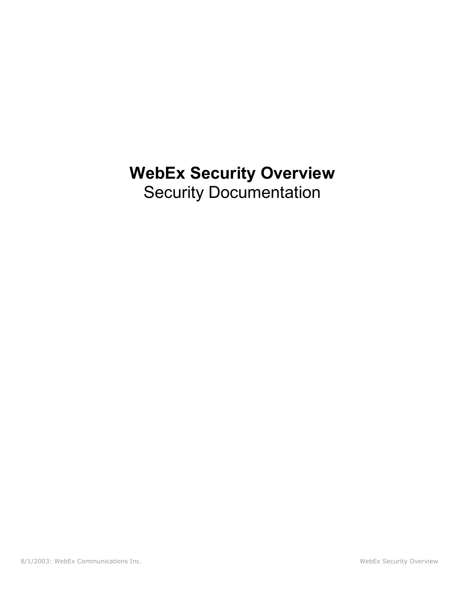# **WebEx Security Overview**  Security Documentation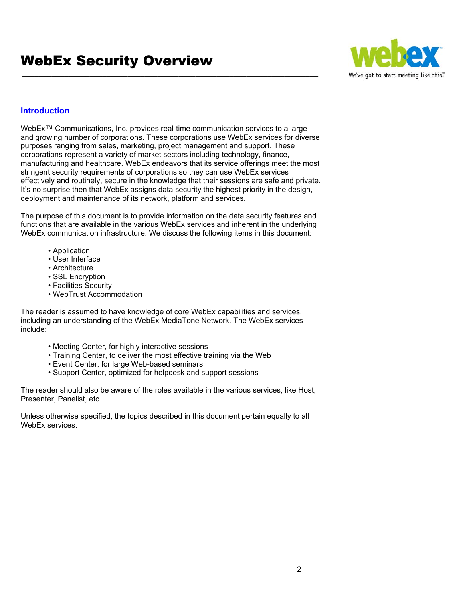

# **Introduction**

WebEx™ Communications, Inc. provides real-time communication services to a large and growing number of corporations. These corporations use WebEx services for diverse purposes ranging from sales, marketing, project management and support. These corporations represent a variety of market sectors including technology, finance, manufacturing and healthcare. WebEx endeavors that its service offerings meet the most stringent security requirements of corporations so they can use WebEx services effectively and routinely, secure in the knowledge that their sessions are safe and private. It's no surprise then that WebEx assigns data security the highest priority in the design, deployment and maintenance of its network, platform and services.

**\_\_\_\_\_\_\_\_\_\_\_\_\_\_\_\_\_\_\_\_\_\_\_\_\_\_\_\_\_\_\_\_\_\_\_\_\_\_\_\_\_\_\_\_\_\_\_\_\_\_\_\_\_\_\_\_\_\_\_\_\_\_\_\_\_\_\_\_\_\_** 

The purpose of this document is to provide information on the data security features and functions that are available in the various WebEx services and inherent in the underlying WebEx communication infrastructure. We discuss the following items in this document:

- Application
- User Interface
- Architecture
- SSL Encryption
- Facilities Security
- WebTrust Accommodation

The reader is assumed to have knowledge of core WebEx capabilities and services, including an understanding of the WebEx MediaTone Network. The WebEx services include:

- Meeting Center, for highly interactive sessions
- Training Center, to deliver the most effective training via the Web
- Event Center, for large Web-based seminars
- Support Center, optimized for helpdesk and support sessions

The reader should also be aware of the roles available in the various services, like Host, Presenter, Panelist, etc.

Unless otherwise specified, the topics described in this document pertain equally to all WebEx services.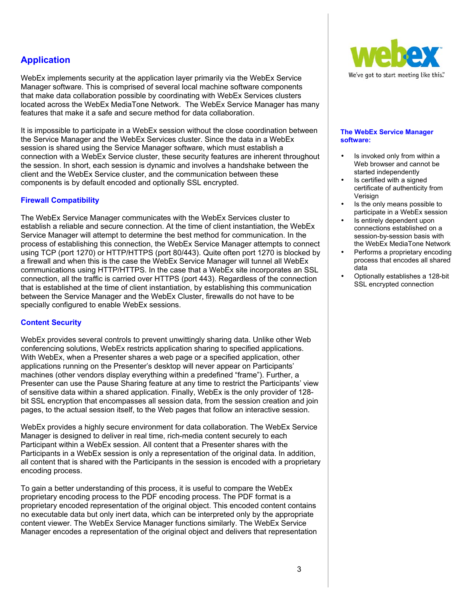# **Application**

WebEx implements security at the application layer primarily via the WebEx Service Manager software. This is comprised of several local machine software components that make data collaboration possible by coordinating with WebEx Services clusters located across the WebEx MediaTone Network. The WebEx Service Manager has many features that make it a safe and secure method for data collaboration.

It is impossible to participate in a WebEx session without the close coordination between the Service Manager and the WebEx Services cluster. Since the data in a WebEx session is shared using the Service Manager software, which must establish a connection with a WebEx Service cluster, these security features are inherent throughout the session. In short, each session is dynamic and involves a handshake between the client and the WebEx Service cluster, and the communication between these components is by default encoded and optionally SSL encrypted.

#### **Firewall Compatibility**

The WebEx Service Manager communicates with the WebEx Services cluster to establish a reliable and secure connection. At the time of client instantiation, the WebEx Service Manager will attempt to determine the best method for communication. In the process of establishing this connection, the WebEx Service Manager attempts to connect using TCP (port 1270) or HTTP/HTTPS (port 80/443). Quite often port 1270 is blocked by a firewall and when this is the case the WebEx Service Manager will tunnel all WebEx communications using HTTP/HTTPS. In the case that a WebEx site incorporates an SSL connection, all the traffic is carried over HTTPS (port 443). Regardless of the connection that is established at the time of client instantiation, by establishing this communication between the Service Manager and the WebEx Cluster, firewalls do not have to be specially configured to enable WebEx sessions.

#### **Content Security**

WebEx provides several controls to prevent unwittingly sharing data. Unlike other Web conferencing solutions, WebEx restricts application sharing to specified applications. With WebEx, when a Presenter shares a web page or a specified application, other applications running on the Presenter's desktop will never appear on Participants' machines (other vendors display everything within a predefined "frame"). Further, a Presenter can use the Pause Sharing feature at any time to restrict the Participants' view of sensitive data within a shared application. Finally, WebEx is the only provider of 128 bit SSL encryption that encompasses all session data, from the session creation and join pages, to the actual session itself, to the Web pages that follow an interactive session.

WebEx provides a highly secure environment for data collaboration. The WebEx Service Manager is designed to deliver in real time, rich-media content securely to each Participant within a WebEx session. All content that a Presenter shares with the Participants in a WebEx session is only a representation of the original data. In addition, all content that is shared with the Participants in the session is encoded with a proprietary encoding process.

To gain a better understanding of this process, it is useful to compare the WebEx proprietary encoding process to the PDF encoding process. The PDF format is a proprietary encoded representation of the original object. This encoded content contains no executable data but only inert data, which can be interpreted only by the appropriate content viewer. The WebEx Service Manager functions similarly. The WebEx Service Manager encodes a representation of the original object and delivers that representation



#### **The WebEx Service Manager software:**

- Is invoked only from within a Web browser and cannot be started independently
- Is certified with a signed certificate of authenticity from Verisign
- Is the only means possible to participate in a WebEx session
- Is entirely dependent upon connections established on a session-by-session basis with the WebEx MediaTone Network
- Performs a proprietary encoding process that encodes all shared data
- Optionally establishes a 128-bit SSL encrypted connection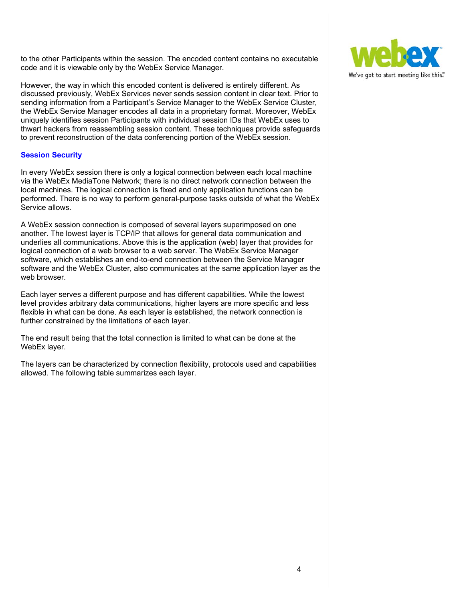to the other Participants within the session. The encoded content contains no executable code and it is viewable only by the WebEx Service Manager.

However, the way in which this encoded content is delivered is entirely different. As discussed previously, WebEx Services never sends session content in clear text. Prior to sending information from a Participant's Service Manager to the WebEx Service Cluster, the WebEx Service Manager encodes all data in a proprietary format. Moreover, WebEx uniquely identifies session Participants with individual session IDs that WebEx uses to thwart hackers from reassembling session content. These techniques provide safeguards to prevent reconstruction of the data conferencing portion of the WebEx session.

#### **Session Security**

In every WebEx session there is only a logical connection between each local machine via the WebEx MediaTone Network; there is no direct network connection between the local machines. The logical connection is fixed and only application functions can be performed. There is no way to perform general-purpose tasks outside of what the WebEx Service allows.

A WebEx session connection is composed of several layers superimposed on one another. The lowest layer is TCP/IP that allows for general data communication and underlies all communications. Above this is the application (web) layer that provides for logical connection of a web browser to a web server. The WebEx Service Manager software, which establishes an end-to-end connection between the Service Manager software and the WebEx Cluster, also communicates at the same application layer as the web browser.

Each layer serves a different purpose and has different capabilities. While the lowest level provides arbitrary data communications, higher layers are more specific and less flexible in what can be done. As each layer is established, the network connection is further constrained by the limitations of each layer.

The end result being that the total connection is limited to what can be done at the WebEx layer.

The layers can be characterized by connection flexibility, protocols used and capabilities allowed. The following table summarizes each layer.

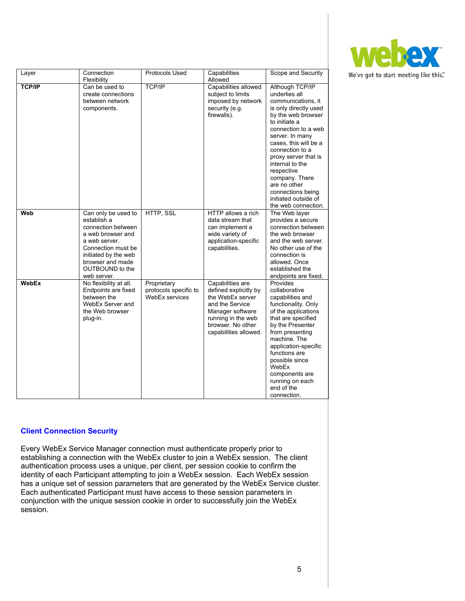

|               | Connection                                                                                                                                                                                         | Protocols Used                                         | Capabilities                                                                                                                                                             | Scope and Security                                                                                                                                                                                                                                                                                                                                                          |
|---------------|----------------------------------------------------------------------------------------------------------------------------------------------------------------------------------------------------|--------------------------------------------------------|--------------------------------------------------------------------------------------------------------------------------------------------------------------------------|-----------------------------------------------------------------------------------------------------------------------------------------------------------------------------------------------------------------------------------------------------------------------------------------------------------------------------------------------------------------------------|
| Layer         | Flexibility                                                                                                                                                                                        |                                                        | Allowed                                                                                                                                                                  |                                                                                                                                                                                                                                                                                                                                                                             |
| <b>TCP/IP</b> | Can be used to<br>create connections<br>between network<br>components.                                                                                                                             | <b>TCP/IP</b>                                          | Capabilities allowed<br>subject to limits<br>imposed by network<br>security (e.g.<br>firewalls).                                                                         | Although TCP/IP<br>underlies all<br>communications, it<br>is only directly used<br>by the web browser<br>to initiate a<br>connection to a web<br>server. In many<br>cases, this will be a<br>connection to a<br>proxy server that is<br>internal to the<br>respective<br>company. There<br>are no other<br>connections being<br>initiated outside of<br>the web connection. |
| Web           | Can only be used to<br>establish a<br>connection between<br>a web browser and<br>a web server.<br>Connection must be<br>initiated by the web<br>browser and made<br>OUTBOUND to the<br>web server. | HTTP, SSL                                              | HTTP allows a rich<br>data stream that<br>can implement a<br>wide variety of<br>application-specific<br>capabilities.                                                    | The Web layer<br>provides a secure<br>connection between<br>the web browser<br>and the web server.<br>No other use of the<br>connection is<br>allowed. Once<br>established the<br>endpoints are fixed.                                                                                                                                                                      |
| <b>WebEx</b>  | No flexibility at all.<br>Endpoints are fixed<br>between the<br>WebEx Server and<br>the Web browser<br>plug-in.                                                                                    | Proprietary<br>protocols specific to<br>WebEx services | Capabilities are<br>defined explicitly by<br>the WebEx server<br>and the Service<br>Manager software<br>running in the web<br>browser. No other<br>capabilities allowed. | Provides<br>collaborative<br>capabilities and<br>functionality. Only<br>of the applications<br>that are specified<br>by the Presenter<br>from presenting<br>machine. The<br>application-specific<br>functions are<br>possible since<br>WebEx<br>components are<br>running on each<br>end of the<br>connection.                                                              |

#### **Client Connection Security**

Every WebEx Service Manager connection must authenticate properly prior to establishing a connection with the WebEx cluster to join a WebEx session. The client authentication process uses a unique, per client, per session cookie to confirm the identity of each Participant attempting to join a WebEx session. Each WebEx session has a unique set of session parameters that are generated by the WebEx Service cluster. Each authenticated Participant must have access to these session parameters in conjunction with the unique session cookie in order to successfully join the WebEx session.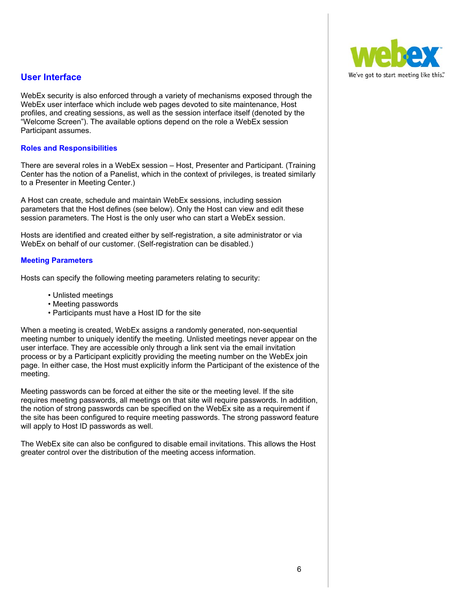# **User Interface**

WebEx security is also enforced through a variety of mechanisms exposed through the WebEx user interface which include web pages devoted to site maintenance, Host profiles, and creating sessions, as well as the session interface itself (denoted by the "Welcome Screen"). The available options depend on the role a WebEx session Participant assumes.

#### **Roles and Responsibilities**

There are several roles in a WebEx session – Host, Presenter and Participant. (Training Center has the notion of a Panelist, which in the context of privileges, is treated similarly to a Presenter in Meeting Center.)

A Host can create, schedule and maintain WebEx sessions, including session parameters that the Host defines (see below). Only the Host can view and edit these session parameters. The Host is the only user who can start a WebEx session.

Hosts are identified and created either by self-registration, a site administrator or via WebEx on behalf of our customer. (Self-registration can be disabled.)

#### **Meeting Parameters**

Hosts can specify the following meeting parameters relating to security:

- Unlisted meetings
- Meeting passwords
- Participants must have a Host ID for the site

When a meeting is created, WebEx assigns a randomly generated, non-sequential meeting number to uniquely identify the meeting. Unlisted meetings never appear on the user interface. They are accessible only through a link sent via the email invitation process or by a Participant explicitly providing the meeting number on the WebEx join page. In either case, the Host must explicitly inform the Participant of the existence of the meeting.

Meeting passwords can be forced at either the site or the meeting level. If the site requires meeting passwords, all meetings on that site will require passwords. In addition, the notion of strong passwords can be specified on the WebEx site as a requirement if the site has been configured to require meeting passwords. The strong password feature will apply to Host ID passwords as well.

The WebEx site can also be configured to disable email invitations. This allows the Host greater control over the distribution of the meeting access information.

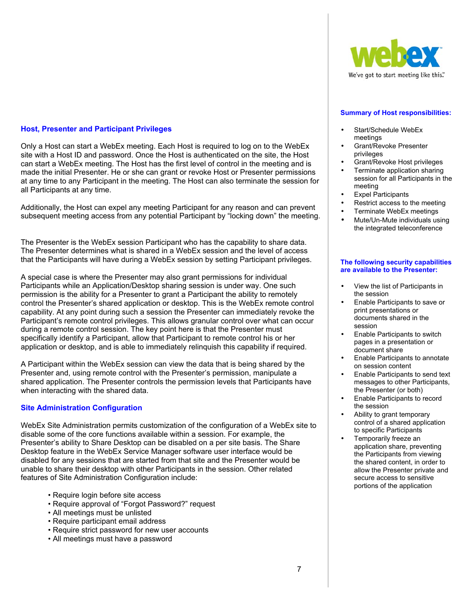#### **Host, Presenter and Participant Privileges**

Only a Host can start a WebEx meeting. Each Host is required to log on to the WebEx site with a Host ID and password. Once the Host is authenticated on the site, the Host can start a WebEx meeting. The Host has the first level of control in the meeting and is made the initial Presenter. He or she can grant or revoke Host or Presenter permissions at any time to any Participant in the meeting. The Host can also terminate the session for all Participants at any time.

Additionally, the Host can expel any meeting Participant for any reason and can prevent subsequent meeting access from any potential Participant by "locking down" the meeting.

The Presenter is the WebEx session Participant who has the capability to share data. The Presenter determines what is shared in a WebEx session and the level of access that the Participants will have during a WebEx session by setting Participant privileges.

A special case is where the Presenter may also grant permissions for individual Participants while an Application/Desktop sharing session is under way. One such permission is the ability for a Presenter to grant a Participant the ability to remotely control the Presenter's shared application or desktop. This is the WebEx remote control capability. At any point during such a session the Presenter can immediately revoke the Participant's remote control privileges. This allows granular control over what can occur during a remote control session. The key point here is that the Presenter must specifically identify a Participant, allow that Participant to remote control his or her application or desktop, and is able to immediately relinquish this capability if required.

A Participant within the WebEx session can view the data that is being shared by the Presenter and, using remote control with the Presenter's permission, manipulate a shared application. The Presenter controls the permission levels that Participants have when interacting with the shared data.

#### **Site Administration Configuration**

WebEx Site Administration permits customization of the configuration of a WebEx site to disable some of the core functions available within a session. For example, the Presenter's ability to Share Desktop can be disabled on a per site basis. The Share Desktop feature in the WebEx Service Manager software user interface would be disabled for any sessions that are started from that site and the Presenter would be unable to share their desktop with other Participants in the session. Other related features of Site Administration Configuration include:

- Require login before site access
- Require approval of "Forgot Password?" request
- All meetings must be unlisted
- Require participant email address
- Require strict password for new user accounts
- All meetings must have a password



#### **Summary of Host responsibilities:**

- Start/Schedule WebEx meetings
- Grant/Revoke Presenter privileges
- Grant/Revoke Host privileges
- Terminate application sharing session for all Participants in the meeting
- Expel Participants
- Restrict access to the meeting
- Terminate WebEx meetings
- Mute/Un-Mute individuals using the integrated teleconference

#### **The following security capabilities are available to the Presenter:**

- View the list of Participants in the session
- Enable Participants to save or print presentations or documents shared in the session
- Enable Participants to switch pages in a presentation or document share
- Enable Participants to annotate on session content
- Enable Participants to send text messages to other Participants, the Presenter (or both)
- Enable Participants to record the session
- Ability to grant temporary control of a shared application to specific Participants
- Temporarily freeze an application share, preventing the Participants from viewing the shared content, in order to allow the Presenter private and secure access to sensitive portions of the application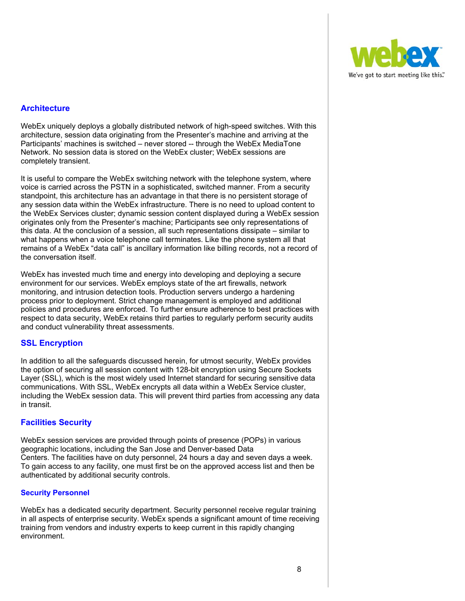

# **Architecture**

WebEx uniquely deploys a globally distributed network of high-speed switches. With this architecture, session data originating from the Presenter's machine and arriving at the Participants' machines is switched – never stored -- through the WebEx MediaTone Network. No session data is stored on the WebEx cluster; WebEx sessions are completely transient.

It is useful to compare the WebEx switching network with the telephone system, where voice is carried across the PSTN in a sophisticated, switched manner. From a security standpoint, this architecture has an advantage in that there is no persistent storage of any session data within the WebEx infrastructure. There is no need to upload content to the WebEx Services cluster; dynamic session content displayed during a WebEx session originates only from the Presenter's machine; Participants see only representations of this data. At the conclusion of a session, all such representations dissipate – similar to what happens when a voice telephone call terminates. Like the phone system all that remains of a WebEx "data call" is ancillary information like billing records, not a record of the conversation itself.

WebEx has invested much time and energy into developing and deploying a secure environment for our services. WebEx employs state of the art firewalls, network monitoring, and intrusion detection tools. Production servers undergo a hardening process prior to deployment. Strict change management is employed and additional policies and procedures are enforced. To further ensure adherence to best practices with respect to data security, WebEx retains third parties to regularly perform security audits and conduct vulnerability threat assessments.

## **SSL Encryption**

In addition to all the safeguards discussed herein, for utmost security, WebEx provides the option of securing all session content with 128-bit encryption using Secure Sockets Layer (SSL), which is the most widely used Internet standard for securing sensitive data communications. With SSL, WebEx encrypts all data within a WebEx Service cluster, including the WebEx session data. This will prevent third parties from accessing any data in transit.

## **Facilities Security**

WebEx session services are provided through points of presence (POPs) in various geographic locations, including the San Jose and Denver-based Data Centers. The facilities have on duty personnel, 24 hours a day and seven days a week. To gain access to any facility, one must first be on the approved access list and then be authenticated by additional security controls.

#### **Security Personnel**

WebEx has a dedicated security department. Security personnel receive regular training in all aspects of enterprise security. WebEx spends a significant amount of time receiving training from vendors and industry experts to keep current in this rapidly changing environment.